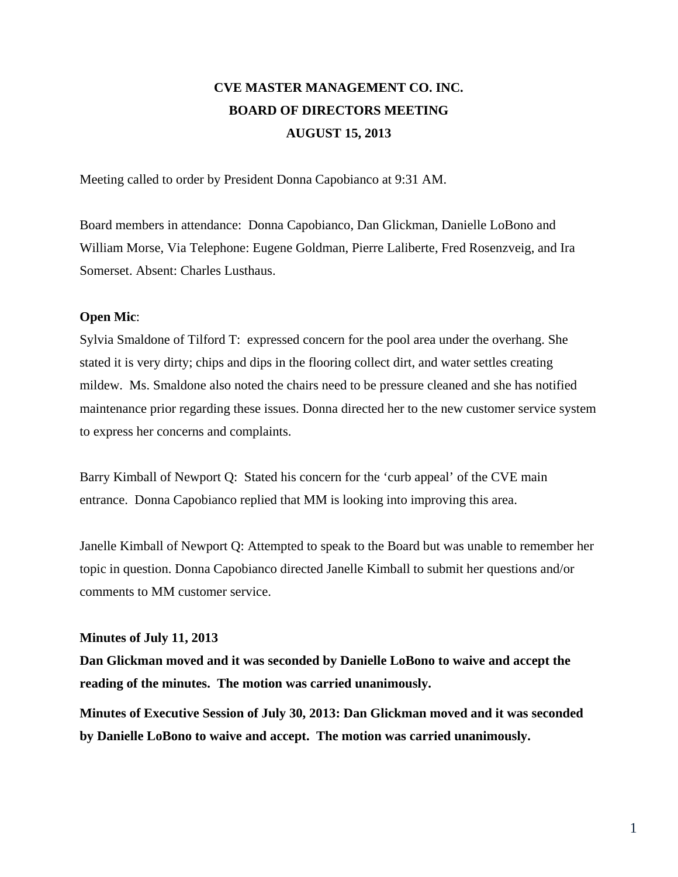# **CVE MASTER MANAGEMENT CO. INC. BOARD OF DIRECTORS MEETING AUGUST 15, 2013**

Meeting called to order by President Donna Capobianco at 9:31 AM.

Board members in attendance: Donna Capobianco, Dan Glickman, Danielle LoBono and William Morse, Via Telephone: Eugene Goldman, Pierre Laliberte, Fred Rosenzveig, and Ira Somerset. Absent: Charles Lusthaus.

### **Open Mic**:

Sylvia Smaldone of Tilford T: expressed concern for the pool area under the overhang. She stated it is very dirty; chips and dips in the flooring collect dirt, and water settles creating mildew. Ms. Smaldone also noted the chairs need to be pressure cleaned and she has notified maintenance prior regarding these issues. Donna directed her to the new customer service system to express her concerns and complaints.

Barry Kimball of Newport Q: Stated his concern for the 'curb appeal' of the CVE main entrance. Donna Capobianco replied that MM is looking into improving this area.

Janelle Kimball of Newport Q: Attempted to speak to the Board but was unable to remember her topic in question. Donna Capobianco directed Janelle Kimball to submit her questions and/or comments to MM customer service.

#### **Minutes of July 11, 2013**

**Dan Glickman moved and it was seconded by Danielle LoBono to waive and accept the reading of the minutes. The motion was carried unanimously.**

**Minutes of Executive Session of July 30, 2013: Dan Glickman moved and it was seconded by Danielle LoBono to waive and accept. The motion was carried unanimously.**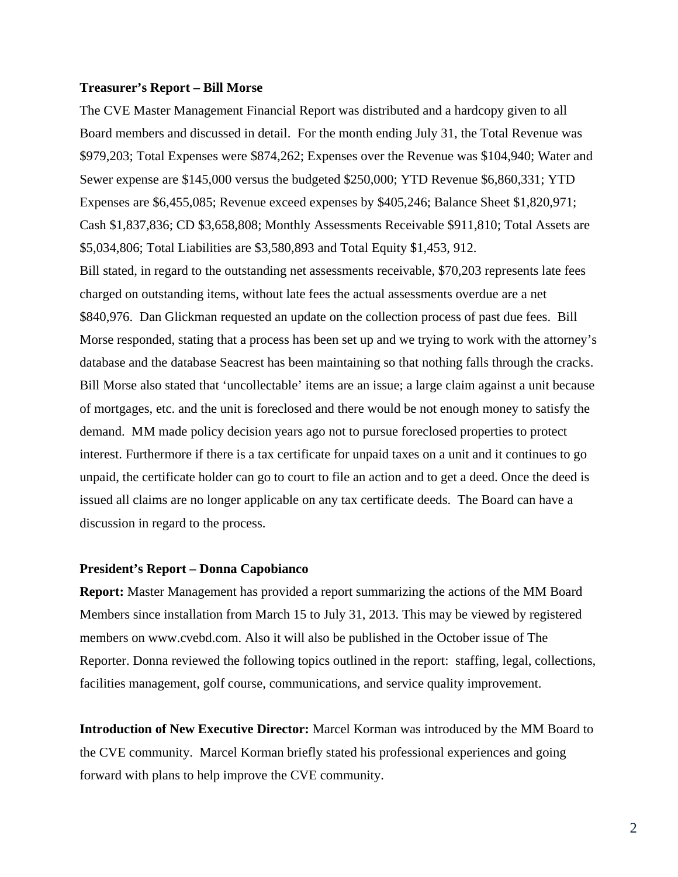#### **Treasurer's Report – Bill Morse**

The CVE Master Management Financial Report was distributed and a hardcopy given to all Board members and discussed in detail. For the month ending July 31, the Total Revenue was \$979,203; Total Expenses were \$874,262; Expenses over the Revenue was \$104,940; Water and Sewer expense are \$145,000 versus the budgeted \$250,000; YTD Revenue \$6,860,331; YTD Expenses are \$6,455,085; Revenue exceed expenses by \$405,246; Balance Sheet \$1,820,971; Cash \$1,837,836; CD \$3,658,808; Monthly Assessments Receivable \$911,810; Total Assets are \$5,034,806; Total Liabilities are \$3,580,893 and Total Equity \$1,453, 912. Bill stated, in regard to the outstanding net assessments receivable, \$70,203 represents late fees charged on outstanding items, without late fees the actual assessments overdue are a net \$840,976. Dan Glickman requested an update on the collection process of past due fees. Bill Morse responded, stating that a process has been set up and we trying to work with the attorney's database and the database Seacrest has been maintaining so that nothing falls through the cracks. Bill Morse also stated that 'uncollectable' items are an issue; a large claim against a unit because of mortgages, etc. and the unit is foreclosed and there would be not enough money to satisfy the demand. MM made policy decision years ago not to pursue foreclosed properties to protect interest. Furthermore if there is a tax certificate for unpaid taxes on a unit and it continues to go unpaid, the certificate holder can go to court to file an action and to get a deed. Once the deed is

issued all claims are no longer applicable on any tax certificate deeds. The Board can have a discussion in regard to the process.

#### **President's Report – Donna Capobianco**

**Report:** Master Management has provided a report summarizing the actions of the MM Board Members since installation from March 15 to July 31, 2013. This may be viewed by registered members on www.cvebd.com. Also it will also be published in the October issue of The Reporter. Donna reviewed the following topics outlined in the report: staffing, legal, collections, facilities management, golf course, communications, and service quality improvement.

**Introduction of New Executive Director:** Marcel Korman was introduced by the MM Board to the CVE community. Marcel Korman briefly stated his professional experiences and going forward with plans to help improve the CVE community.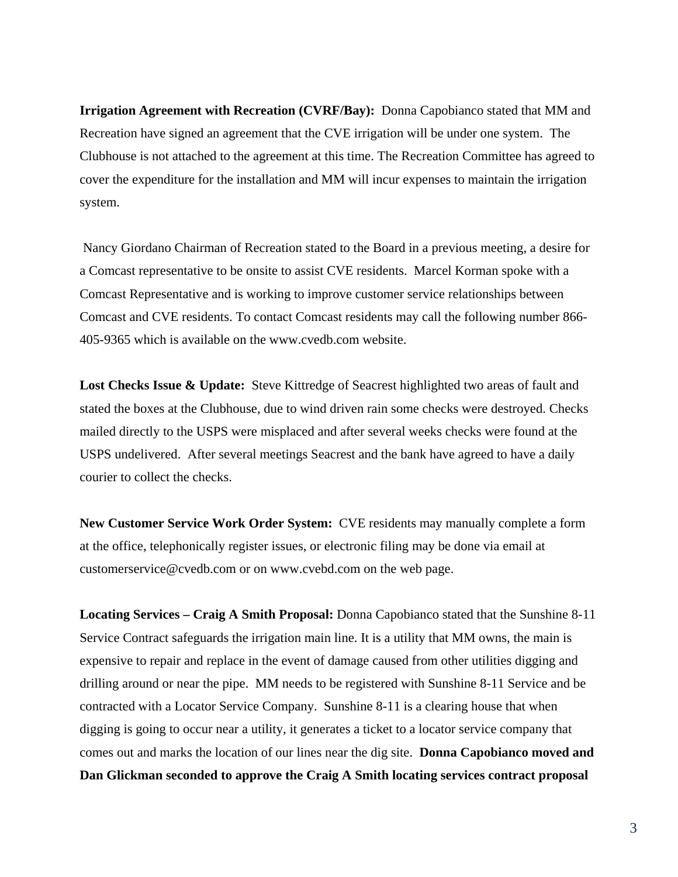**Irrigation Agreement with Recreation (CVRF/Bay):** Donna Capobianco stated that MM and Recreation have signed an agreement that the CVE irrigation will be under one system. The Clubhouse is not attached to the agreement at this time. The Recreation Committee has agreed to cover the expenditure for the installation and MM will incur expenses to maintain the irrigation system.

Nancy Giordano Chairman of Recreation stated to the Board in a previous meeting, a desire for a Comcast representative to be onsite to assist CVE residents. Marcel Korman spoke with a Comcast Representative and is working to improve customer service relationships between Comcast and CVE residents. To contact Comcast residents may call the following number 866- 405-9365 which is available on the www.cvedb.com website.

Lost Checks Issue & Update: Steve Kittredge of Seacrest highlighted two areas of fault and stated the boxes at the Clubhouse, due to wind driven rain some checks were destroyed. Checks mailed directly to the USPS were misplaced and after several weeks checks were found at the USPS undelivered. After several meetings Seacrest and the bank have agreed to have a daily courier to collect the checks.

**New Customer Service Work Order System:** CVE residents may manually complete a form at the office, telephonically register issues, or electronic filing may be done via email at customerservice@cvedb.com or on www.cvebd.com on the web page.

**Locating Services – Craig A Smith Proposal:** Donna Capobianco stated that the Sunshine 8-11 Service Contract safeguards the irrigation main line. It is a utility that MM owns, the main is expensive to repair and replace in the event of damage caused from other utilities digging and drilling around or near the pipe. MM needs to be registered with Sunshine 8-11 Service and be contracted with a Locator Service Company. Sunshine 8-11 is a clearing house that when digging is going to occur near a utility, it generates a ticket to a locator service company that comes out and marks the location of our lines near the dig site. **Donna Capobianco moved and Dan Glickman seconded to approve the Craig A Smith locating services contract proposal**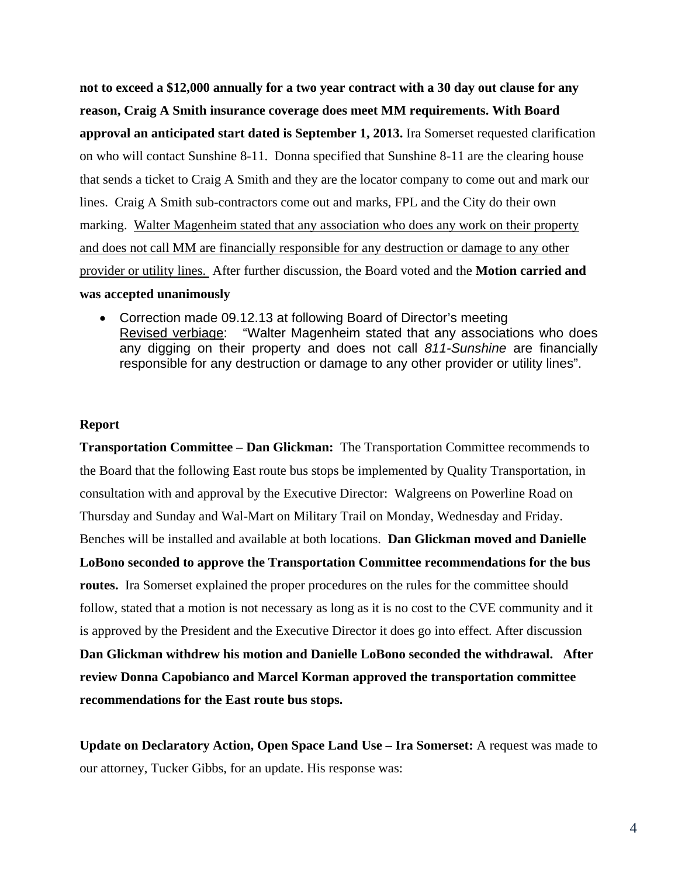**not to exceed a \$12,000 annually for a two year contract with a 30 day out clause for any reason, Craig A Smith insurance coverage does meet MM requirements. With Board approval an anticipated start dated is September 1, 2013.** Ira Somerset requested clarification on who will contact Sunshine 8-11. Donna specified that Sunshine 8-11 are the clearing house that sends a ticket to Craig A Smith and they are the locator company to come out and mark our lines. Craig A Smith sub-contractors come out and marks, FPL and the City do their own marking. Walter Magenheim stated that any association who does any work on their property and does not call MM are financially responsible for any destruction or damage to any other provider or utility lines. After further discussion, the Board voted and the **Motion carried and was accepted unanimously** 

• Correction made 09.12.13 at following Board of Director's meeting Revised verbiage: "Walter Magenheim stated that any associations who does any digging on their property and does not call *811-Sunshine* are financially responsible for any destruction or damage to any other provider or utility lines".

#### **Report**

**Transportation Committee – Dan Glickman:** The Transportation Committee recommends to the Board that the following East route bus stops be implemented by Quality Transportation, in consultation with and approval by the Executive Director: Walgreens on Powerline Road on Thursday and Sunday and Wal-Mart on Military Trail on Monday, Wednesday and Friday. Benches will be installed and available at both locations. **Dan Glickman moved and Danielle LoBono seconded to approve the Transportation Committee recommendations for the bus routes.** Ira Somerset explained the proper procedures on the rules for the committee should follow, stated that a motion is not necessary as long as it is no cost to the CVE community and it is approved by the President and the Executive Director it does go into effect. After discussion **Dan Glickman withdrew his motion and Danielle LoBono seconded the withdrawal. After review Donna Capobianco and Marcel Korman approved the transportation committee recommendations for the East route bus stops.** 

**Update on Declaratory Action, Open Space Land Use – Ira Somerset:** A request was made to our attorney, Tucker Gibbs, for an update. His response was: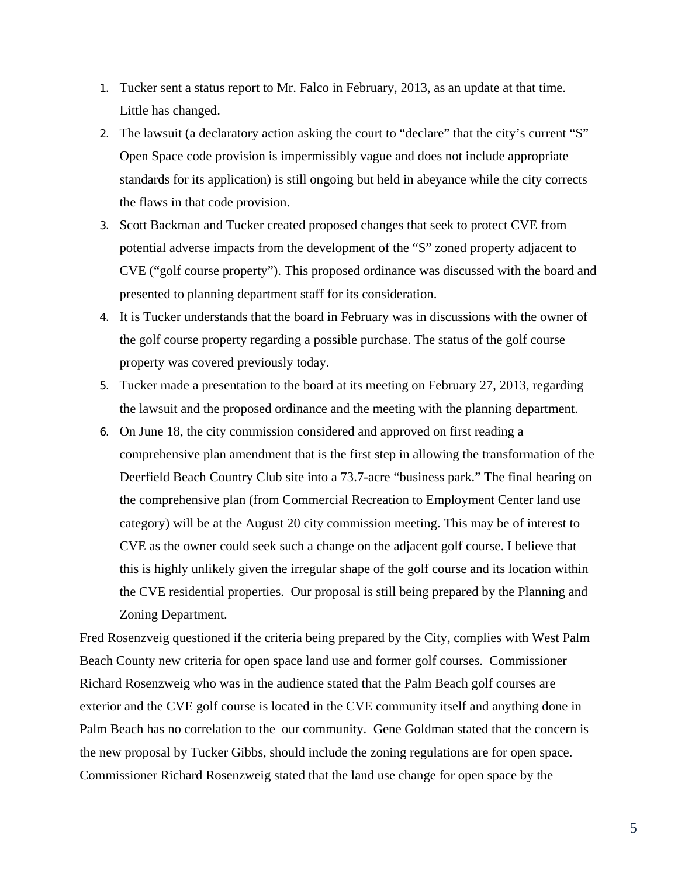- 1. Tucker sent a status report to Mr. Falco in February, 2013, as an update at that time. Little has changed.
- 2. The lawsuit (a declaratory action asking the court to "declare" that the city's current "S" Open Space code provision is impermissibly vague and does not include appropriate standards for its application) is still ongoing but held in abeyance while the city corrects the flaws in that code provision.
- 3. Scott Backman and Tucker created proposed changes that seek to protect CVE from potential adverse impacts from the development of the "S" zoned property adjacent to CVE ("golf course property"). This proposed ordinance was discussed with the board and presented to planning department staff for its consideration.
- 4. It is Tucker understands that the board in February was in discussions with the owner of the golf course property regarding a possible purchase. The status of the golf course property was covered previously today.
- 5. Tucker made a presentation to the board at its meeting on February 27, 2013, regarding the lawsuit and the proposed ordinance and the meeting with the planning department.
- 6. On June 18, the city commission considered and approved on first reading a comprehensive plan amendment that is the first step in allowing the transformation of the Deerfield Beach Country Club site into a 73.7-acre "business park." The final hearing on the comprehensive plan (from Commercial Recreation to Employment Center land use category) will be at the August 20 city commission meeting. This may be of interest to CVE as the owner could seek such a change on the adjacent golf course. I believe that this is highly unlikely given the irregular shape of the golf course and its location within the CVE residential properties. Our proposal is still being prepared by the Planning and Zoning Department.

Fred Rosenzveig questioned if the criteria being prepared by the City, complies with West Palm Beach County new criteria for open space land use and former golf courses. Commissioner Richard Rosenzweig who was in the audience stated that the Palm Beach golf courses are exterior and the CVE golf course is located in the CVE community itself and anything done in Palm Beach has no correlation to the our community. Gene Goldman stated that the concern is the new proposal by Tucker Gibbs, should include the zoning regulations are for open space. Commissioner Richard Rosenzweig stated that the land use change for open space by the